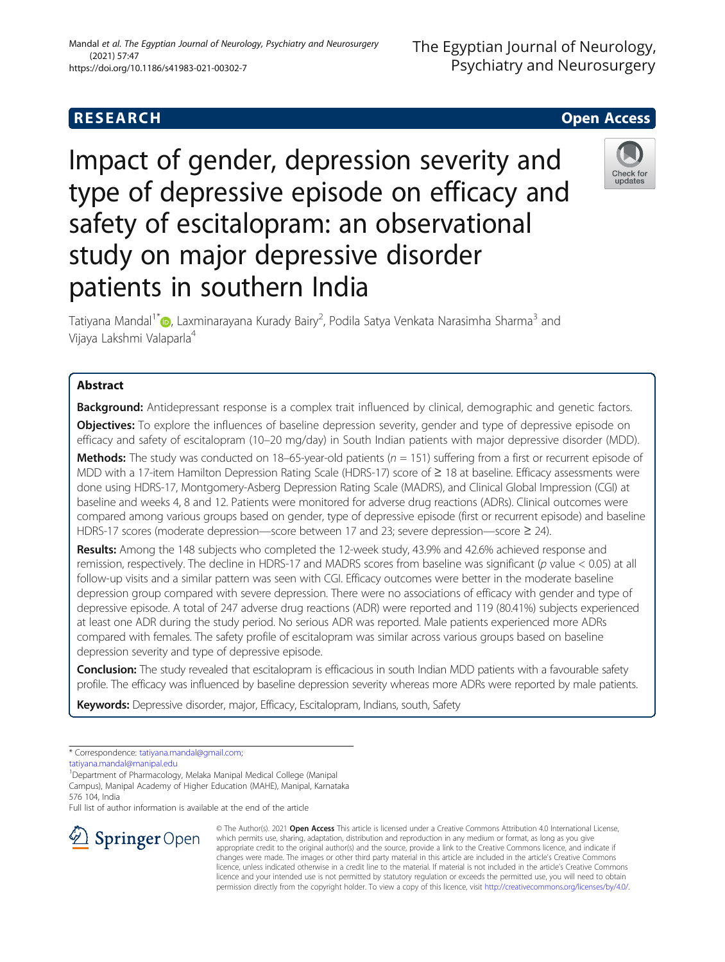# Impact of gender, depression severity and type of depressive episode on efficacy and safety of escitalopram: an observational study on major depressive disorder patients in southern India

Tatiyana Mandal<sup>1\*</sup>�[,](http://orcid.org/0000-0002-2627-630X) Laxminarayana Kurady Bairy<sup>2</sup>, Podila Satya Venkata Narasimha Sharma<sup>3</sup> and Vijaya Lakshmi Valaparla<sup>4</sup>

# Abstract

**Background:** Antidepressant response is a complex trait influenced by clinical, demographic and genetic factors.

**Objectives:** To explore the influences of baseline depression severity, gender and type of depressive episode on efficacy and safety of escitalopram (10–20 mg/day) in South Indian patients with major depressive disorder (MDD).

Methods: The study was conducted on 18–65-year-old patients  $(n = 151)$  suffering from a first or recurrent episode of MDD with a 17-item Hamilton Depression Rating Scale (HDRS-17) score of ≥ 18 at baseline. Efficacy assessments were done using HDRS-17, Montgomery-Asberg Depression Rating Scale (MADRS), and Clinical Global Impression (CGI) at baseline and weeks 4, 8 and 12. Patients were monitored for adverse drug reactions (ADRs). Clinical outcomes were compared among various groups based on gender, type of depressive episode (first or recurrent episode) and baseline HDRS-17 scores (moderate depression—score between 17 and 23; severe depression—score ≥ 24).

Results: Among the 148 subjects who completed the 12-week study, 43.9% and 42.6% achieved response and remission, respectively. The decline in HDRS-17 and MADRS scores from baseline was significant (p value < 0.05) at all follow-up visits and a similar pattern was seen with CGI. Efficacy outcomes were better in the moderate baseline depression group compared with severe depression. There were no associations of efficacy with gender and type of depressive episode. A total of 247 adverse drug reactions (ADR) were reported and 119 (80.41%) subjects experienced at least one ADR during the study period. No serious ADR was reported. Male patients experienced more ADRs compared with females. The safety profile of escitalopram was similar across various groups based on baseline depression severity and type of depressive episode.

Conclusion: The study revealed that escitalopram is efficacious in south Indian MDD patients with a favourable safety profile. The efficacy was influenced by baseline depression severity whereas more ADRs were reported by male patients.

Keywords: Depressive disorder, major, Efficacy, Escitalopram, Indians, south, Safety

\* Correspondence: [tatiyana.mandal@gmail.com](mailto:tatiyana.mandal@gmail.com);

 $\Delta$  Springer Open

[tatiyana.mandal@manipal.edu](mailto:tatiyana.mandal@manipal.edu)

<sup>1</sup>Department of Pharmacology, Melaka Manipal Medical College (Manipal Campus), Manipal Academy of Higher Education (MAHE), Manipal, Karnataka 576 104, India

Full list of author information is available at the end of the article

Mandal et al. The Egyptian Journal of Neurology, Psychiatry and Neurosurgery (2021) 57:47 https://doi.org/10.1186/s41983-021-00302-7

#### © The Author(s). 2021 Open Access This article is licensed under a Creative Commons Attribution 4.0 International License, which permits use, sharing, adaptation, distribution and reproduction in any medium or format, as long as you give appropriate credit to the original author(s) and the source, provide a link to the Creative Commons licence, and indicate if changes were made. The images or other third party material in this article are included in the article's Creative Commons licence, unless indicated otherwise in a credit line to the material. If material is not included in the article's Creative Commons licence and your intended use is not permitted by statutory regulation or exceeds the permitted use, you will need to obtain permission directly from the copyright holder. To view a copy of this licence, visit <http://creativecommons.org/licenses/by/4.0/>.



updates

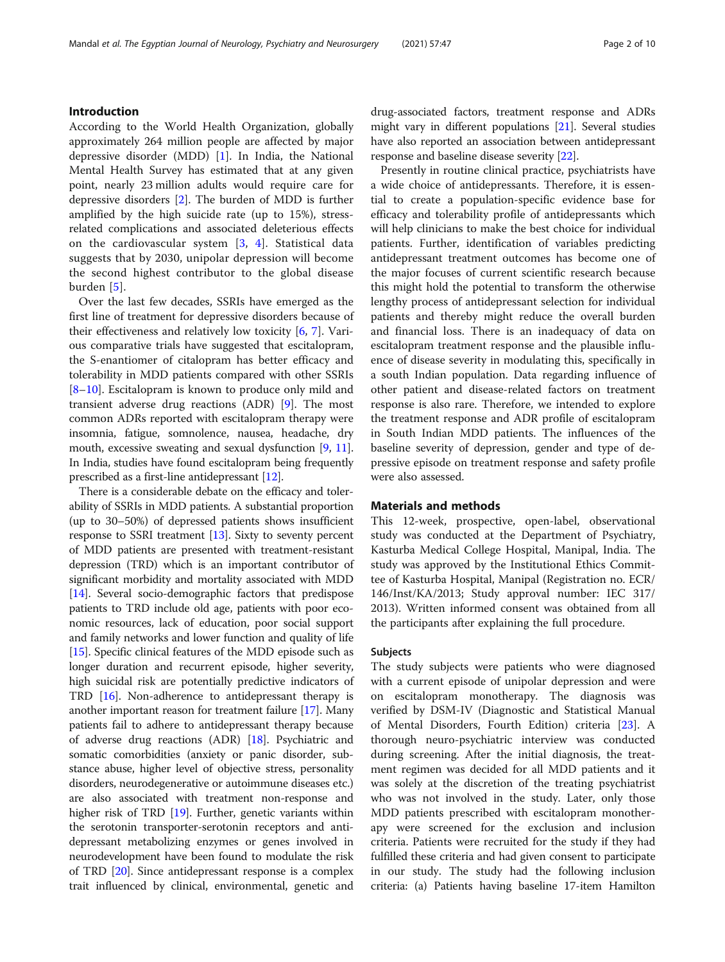# Introduction

According to the World Health Organization, globally approximately 264 million people are affected by major depressive disorder (MDD) [\[1](#page-8-0)]. In India, the National Mental Health Survey has estimated that at any given point, nearly 23 million adults would require care for depressive disorders [[2](#page-8-0)]. The burden of MDD is further amplified by the high suicide rate (up to 15%), stressrelated complications and associated deleterious effects on the cardiovascular system [[3,](#page-8-0) [4\]](#page-8-0). Statistical data suggests that by 2030, unipolar depression will become the second highest contributor to the global disease burden [[5](#page-8-0)].

Over the last few decades, SSRIs have emerged as the first line of treatment for depressive disorders because of their effectiveness and relatively low toxicity [[6,](#page-8-0) [7](#page-8-0)]. Various comparative trials have suggested that escitalopram, the S-enantiomer of citalopram has better efficacy and tolerability in MDD patients compared with other SSRIs [[8](#page-8-0)–[10\]](#page-8-0). Escitalopram is known to produce only mild and transient adverse drug reactions (ADR) [[9\]](#page-8-0). The most common ADRs reported with escitalopram therapy were insomnia, fatigue, somnolence, nausea, headache, dry mouth, excessive sweating and sexual dysfunction [\[9](#page-8-0), [11](#page-8-0)]. In India, studies have found escitalopram being frequently prescribed as a first-line antidepressant [\[12\]](#page-8-0).

There is a considerable debate on the efficacy and tolerability of SSRIs in MDD patients. A substantial proportion (up to 30–50%) of depressed patients shows insufficient response to SSRI treatment [[13](#page-8-0)]. Sixty to seventy percent of MDD patients are presented with treatment-resistant depression (TRD) which is an important contributor of significant morbidity and mortality associated with MDD [[14](#page-8-0)]. Several socio-demographic factors that predispose patients to TRD include old age, patients with poor economic resources, lack of education, poor social support and family networks and lower function and quality of life [[15](#page-8-0)]. Specific clinical features of the MDD episode such as longer duration and recurrent episode, higher severity, high suicidal risk are potentially predictive indicators of TRD [[16](#page-8-0)]. Non-adherence to antidepressant therapy is another important reason for treatment failure [[17](#page-8-0)]. Many patients fail to adhere to antidepressant therapy because of adverse drug reactions (ADR) [\[18](#page-8-0)]. Psychiatric and somatic comorbidities (anxiety or panic disorder, substance abuse, higher level of objective stress, personality disorders, neurodegenerative or autoimmune diseases etc.) are also associated with treatment non-response and higher risk of TRD [[19\]](#page-8-0). Further, genetic variants within the serotonin transporter-serotonin receptors and antidepressant metabolizing enzymes or genes involved in neurodevelopment have been found to modulate the risk of TRD [[20](#page-8-0)]. Since antidepressant response is a complex trait influenced by clinical, environmental, genetic and

drug-associated factors, treatment response and ADRs might vary in different populations [[21](#page-8-0)]. Several studies have also reported an association between antidepressant response and baseline disease severity [[22](#page-8-0)].

Presently in routine clinical practice, psychiatrists have a wide choice of antidepressants. Therefore, it is essential to create a population-specific evidence base for efficacy and tolerability profile of antidepressants which will help clinicians to make the best choice for individual patients. Further, identification of variables predicting antidepressant treatment outcomes has become one of the major focuses of current scientific research because this might hold the potential to transform the otherwise lengthy process of antidepressant selection for individual patients and thereby might reduce the overall burden and financial loss. There is an inadequacy of data on escitalopram treatment response and the plausible influence of disease severity in modulating this, specifically in a south Indian population. Data regarding influence of other patient and disease-related factors on treatment response is also rare. Therefore, we intended to explore the treatment response and ADR profile of escitalopram in South Indian MDD patients. The influences of the baseline severity of depression, gender and type of depressive episode on treatment response and safety profile were also assessed.

# Materials and methods

This 12-week, prospective, open-label, observational study was conducted at the Department of Psychiatry, Kasturba Medical College Hospital, Manipal, India. The study was approved by the Institutional Ethics Committee of Kasturba Hospital, Manipal (Registration no. ECR/ 146/Inst/KA/2013; Study approval number: IEC 317/ 2013). Written informed consent was obtained from all the participants after explaining the full procedure.

# Subjects

The study subjects were patients who were diagnosed with a current episode of unipolar depression and were on escitalopram monotherapy. The diagnosis was verified by DSM-IV (Diagnostic and Statistical Manual of Mental Disorders, Fourth Edition) criteria [[23](#page-9-0)]. A thorough neuro-psychiatric interview was conducted during screening. After the initial diagnosis, the treatment regimen was decided for all MDD patients and it was solely at the discretion of the treating psychiatrist who was not involved in the study. Later, only those MDD patients prescribed with escitalopram monotherapy were screened for the exclusion and inclusion criteria. Patients were recruited for the study if they had fulfilled these criteria and had given consent to participate in our study. The study had the following inclusion criteria: (a) Patients having baseline 17-item Hamilton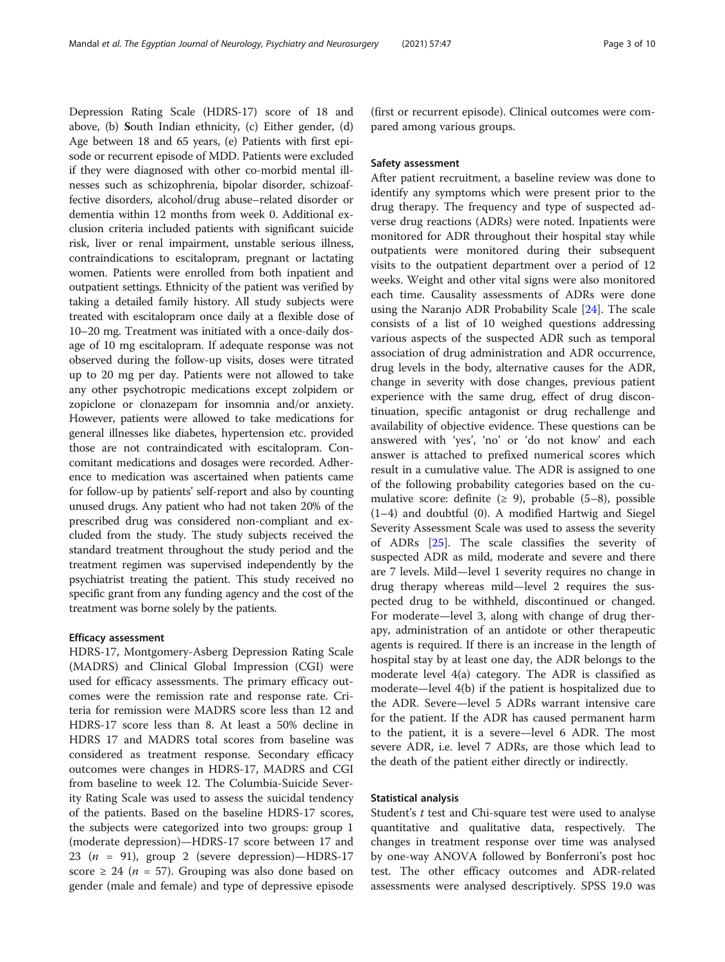Depression Rating Scale (HDRS-17) score of 18 and above, (b) South Indian ethnicity, (c) Either gender, (d) Age between 18 and 65 years, (e) Patients with first episode or recurrent episode of MDD. Patients were excluded if they were diagnosed with other co-morbid mental illnesses such as schizophrenia, bipolar disorder, schizoaffective disorders, alcohol/drug abuse–related disorder or dementia within 12 months from week 0. Additional exclusion criteria included patients with significant suicide risk, liver or renal impairment, unstable serious illness, contraindications to escitalopram, pregnant or lactating women. Patients were enrolled from both inpatient and outpatient settings. Ethnicity of the patient was verified by taking a detailed family history. All study subjects were treated with escitalopram once daily at a flexible dose of 10–20 mg. Treatment was initiated with a once-daily dosage of 10 mg escitalopram. If adequate response was not observed during the follow-up visits, doses were titrated up to 20 mg per day. Patients were not allowed to take any other psychotropic medications except zolpidem or zopiclone or clonazepam for insomnia and/or anxiety. However, patients were allowed to take medications for general illnesses like diabetes, hypertension etc. provided those are not contraindicated with escitalopram. Concomitant medications and dosages were recorded. Adherence to medication was ascertained when patients came for follow-up by patients' self-report and also by counting unused drugs. Any patient who had not taken 20% of the prescribed drug was considered non-compliant and excluded from the study. The study subjects received the standard treatment throughout the study period and the treatment regimen was supervised independently by the psychiatrist treating the patient. This study received no specific grant from any funding agency and the cost of the treatment was borne solely by the patients.

# Efficacy assessment

HDRS-17, Montgomery-Asberg Depression Rating Scale (MADRS) and Clinical Global Impression (CGI) were used for efficacy assessments. The primary efficacy outcomes were the remission rate and response rate. Criteria for remission were MADRS score less than 12 and HDRS-17 score less than 8. At least a 50% decline in HDRS 17 and MADRS total scores from baseline was considered as treatment response. Secondary efficacy outcomes were changes in HDRS-17, MADRS and CGI from baseline to week 12. The Columbia-Suicide Severity Rating Scale was used to assess the suicidal tendency of the patients. Based on the baseline HDRS-17 scores, the subjects were categorized into two groups: group 1 (moderate depression)—HDRS-17 score between 17 and 23 ( $n = 91$ ), group 2 (severe depression)-HDRS-17 score  $\geq$  24 (*n* = 57). Grouping was also done based on gender (male and female) and type of depressive episode

(first or recurrent episode). Clinical outcomes were compared among various groups.

# Safety assessment

After patient recruitment, a baseline review was done to identify any symptoms which were present prior to the drug therapy. The frequency and type of suspected adverse drug reactions (ADRs) were noted. Inpatients were monitored for ADR throughout their hospital stay while outpatients were monitored during their subsequent visits to the outpatient department over a period of 12 weeks. Weight and other vital signs were also monitored each time. Causality assessments of ADRs were done using the Naranjo ADR Probability Scale [[24\]](#page-9-0). The scale consists of a list of 10 weighed questions addressing various aspects of the suspected ADR such as temporal association of drug administration and ADR occurrence, drug levels in the body, alternative causes for the ADR, change in severity with dose changes, previous patient experience with the same drug, effect of drug discontinuation, specific antagonist or drug rechallenge and availability of objective evidence. These questions can be answered with 'yes', 'no' or 'do not know' and each answer is attached to prefixed numerical scores which result in a cumulative value. The ADR is assigned to one of the following probability categories based on the cumulative score: definite  $(≥ 9)$ , probable  $(5-8)$ , possible (1–4) and doubtful (0). A modified Hartwig and Siegel Severity Assessment Scale was used to assess the severity of ADRs [\[25\]](#page-9-0). The scale classifies the severity of suspected ADR as mild, moderate and severe and there are 7 levels. Mild—level 1 severity requires no change in drug therapy whereas mild—level 2 requires the suspected drug to be withheld, discontinued or changed. For moderate—level 3, along with change of drug therapy, administration of an antidote or other therapeutic agents is required. If there is an increase in the length of hospital stay by at least one day, the ADR belongs to the moderate level 4(a) category. The ADR is classified as moderate—level 4(b) if the patient is hospitalized due to the ADR. Severe—level 5 ADRs warrant intensive care for the patient. If the ADR has caused permanent harm to the patient, it is a severe—level 6 ADR. The most severe ADR, i.e. level 7 ADRs, are those which lead to the death of the patient either directly or indirectly.

# Statistical analysis

Student's t test and Chi-square test were used to analyse quantitative and qualitative data, respectively. The changes in treatment response over time was analysed by one-way ANOVA followed by Bonferroni's post hoc test. The other efficacy outcomes and ADR-related assessments were analysed descriptively. SPSS 19.0 was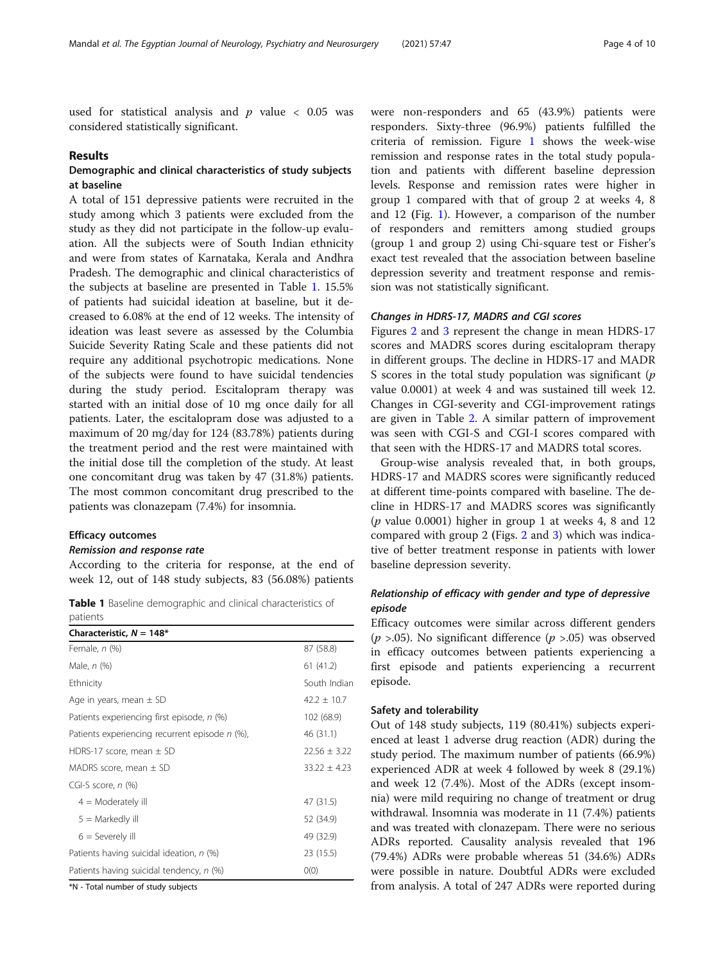used for statistical analysis and  $p$  value < 0.05 was considered statistically significant.

# Results

# Demographic and clinical characteristics of study subjects at baseline

A total of 151 depressive patients were recruited in the study among which 3 patients were excluded from the study as they did not participate in the follow-up evaluation. All the subjects were of South Indian ethnicity and were from states of Karnataka, Kerala and Andhra Pradesh. The demographic and clinical characteristics of the subjects at baseline are presented in Table 1. 15.5% of patients had suicidal ideation at baseline, but it decreased to 6.08% at the end of 12 weeks. The intensity of ideation was least severe as assessed by the Columbia Suicide Severity Rating Scale and these patients did not require any additional psychotropic medications. None of the subjects were found to have suicidal tendencies during the study period. Escitalopram therapy was started with an initial dose of 10 mg once daily for all patients. Later, the escitalopram dose was adjusted to a maximum of 20 mg/day for 124 (83.78%) patients during the treatment period and the rest were maintained with the initial dose till the completion of the study. At least one concomitant drug was taken by 47 (31.8%) patients. The most common concomitant drug prescribed to the patients was clonazepam (7.4%) for insomnia.

# Efficacy outcomes

# Remission and response rate

According to the criteria for response, at the end of week 12, out of 148 study subjects, 83 (56.08%) patients

Table 1 Baseline demographic and clinical characteristics of patients

| Characteristic, $N = 148*$                     |                  |
|------------------------------------------------|------------------|
| Female, $n$ $(\%)$                             | 87 (58.8)        |
| Male, n (%)                                    | 61(41.2)         |
| Ethnicity                                      | South Indian     |
| Age in years, mean $\pm$ SD                    | $42.2 + 10.7$    |
| Patients experiencing first episode, n (%)     | 102 (68.9)       |
| Patients experiencing recurrent episode n (%), | 46 (31.1)        |
| HDRS-17 score, mean $\pm$ SD                   | $22.56 \pm 3.22$ |
| MADRS score, mean ± SD                         | $33.22 \pm 4.23$ |
| CGI-S score, $n$ (%)                           |                  |
| $4 =$ Moderately ill                           | 47 (31.5)        |
| $5 =$ Markedly ill                             | 52 (34.9)        |
| $6 =$ Severely ill                             | 49 (32.9)        |
| Patients having suicidal ideation, n (%)       | 23 (15.5)        |
| Patients having suicidal tendency, n (%)       | O(0)             |

\*N - Total number of study subjects

were non-responders and 65 (43.9%) patients were responders. Sixty-three (96.9%) patients fulfilled the criteria of remission. Figure [1](#page-4-0) shows the week-wise remission and response rates in the total study population and patients with different baseline depression levels. Response and remission rates were higher in group 1 compared with that of group 2 at weeks 4, 8 and 12 (Fig. [1\)](#page-4-0). However, a comparison of the number of responders and remitters among studied groups (group 1 and group 2) using Chi-square test or Fisher's exact test revealed that the association between baseline depression severity and treatment response and remission was not statistically significant.

#### Changes in HDRS-17, MADRS and CGI scores

Figures [2](#page-4-0) and [3](#page-5-0) represent the change in mean HDRS-17 scores and MADRS scores during escitalopram therapy in different groups. The decline in HDRS-17 and MADR S scores in the total study population was significant  $(p)$ value 0.0001) at week 4 and was sustained till week 12. Changes in CGI-severity and CGI-improvement ratings are given in Table [2](#page-5-0). A similar pattern of improvement was seen with CGI-S and CGI-I scores compared with that seen with the HDRS-17 and MADRS total scores.

Group-wise analysis revealed that, in both groups, HDRS-17 and MADRS scores were significantly reduced at different time-points compared with baseline. The decline in HDRS-17 and MADRS scores was significantly ( $p$  value 0.0001) higher in group 1 at weeks 4, 8 and 12 compared with group 2 (Figs. [2](#page-4-0) and [3](#page-5-0)) which was indicative of better treatment response in patients with lower baseline depression severity.

# Relationship of efficacy with gender and type of depressive episode

Efficacy outcomes were similar across different genders  $(p > .05)$ . No significant difference  $(p > .05)$  was observed in efficacy outcomes between patients experiencing a first episode and patients experiencing a recurrent episode.

# Safety and tolerability

Out of 148 study subjects, 119 (80.41%) subjects experienced at least 1 adverse drug reaction (ADR) during the study period. The maximum number of patients (66.9%) experienced ADR at week 4 followed by week 8 (29.1%) and week 12 (7.4%). Most of the ADRs (except insomnia) were mild requiring no change of treatment or drug withdrawal. Insomnia was moderate in 11 (7.4%) patients and was treated with clonazepam. There were no serious ADRs reported. Causality analysis revealed that 196 (79.4%) ADRs were probable whereas 51 (34.6%) ADRs were possible in nature. Doubtful ADRs were excluded from analysis. A total of 247 ADRs were reported during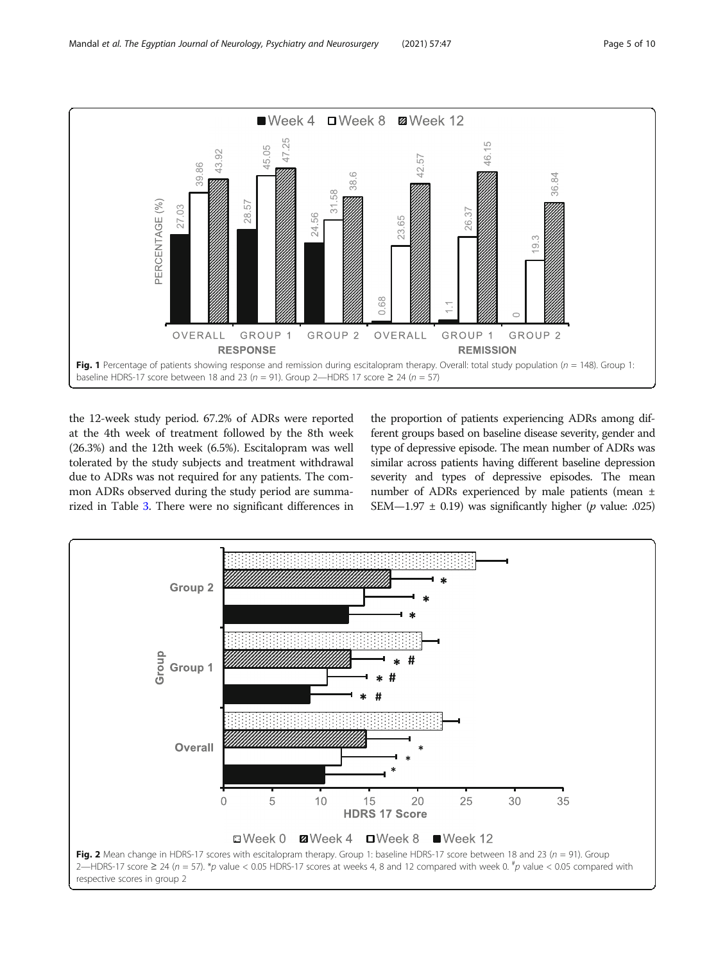<span id="page-4-0"></span>

the 12-week study period. 67.2% of ADRs were reported at the 4th week of treatment followed by the 8th week (26.3%) and the 12th week (6.5%). Escitalopram was well tolerated by the study subjects and treatment withdrawal due to ADRs was not required for any patients. The common ADRs observed during the study period are summarized in Table [3](#page-6-0). There were no significant differences in the proportion of patients experiencing ADRs among different groups based on baseline disease severity, gender and type of depressive episode. The mean number of ADRs was similar across patients having different baseline depression severity and types of depressive episodes. The mean number of ADRs experienced by male patients (mean ± SEM—1.97  $\pm$  0.19) was significantly higher (*p* value: .025)

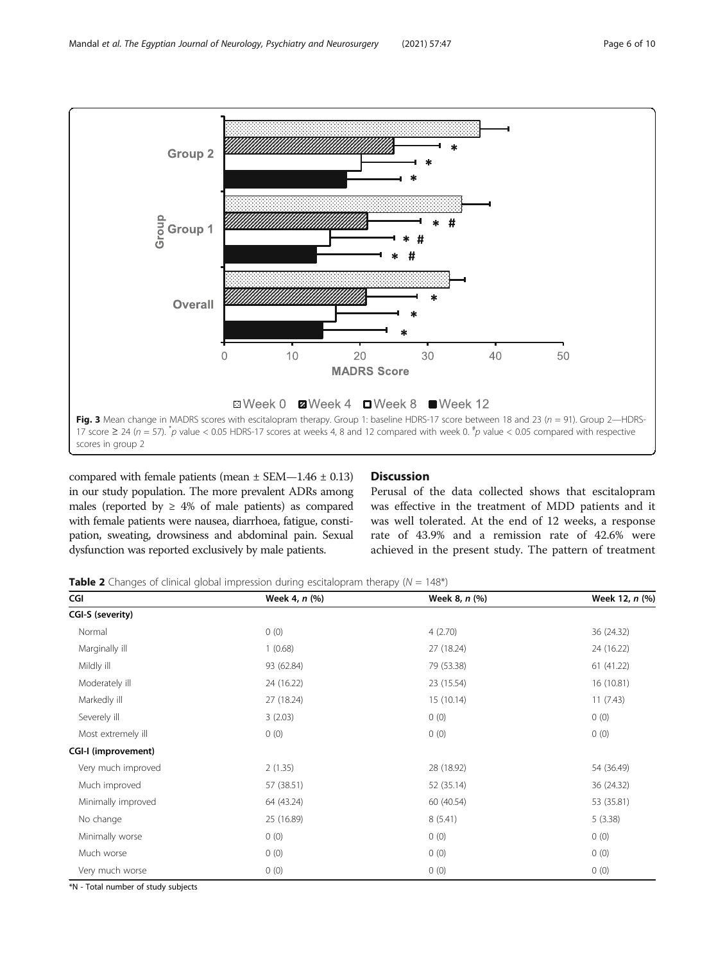<span id="page-5-0"></span>

compared with female patients (mean  $\pm$  SEM-1.46  $\pm$  0.13) in our study population. The more prevalent ADRs among males (reported by  $\geq 4\%$  of male patients) as compared with female patients were nausea, diarrhoea, fatigue, constipation, sweating, drowsiness and abdominal pain. Sexual dysfunction was reported exclusively by male patients.

# **Discussion**

Perusal of the data collected shows that escitalopram was effective in the treatment of MDD patients and it was well tolerated. At the end of 12 weeks, a response rate of 43.9% and a remission rate of 42.6% were achieved in the present study. The pattern of treatment

**Table 2** Changes of clinical global impression during escitalopram therapy ( $N = 148^*$ )

| CGI                 | Week 4, n (%) | Week 8, n (%) | Week 12, n (%) |
|---------------------|---------------|---------------|----------------|
| CGI-S (severity)    |               |               |                |
| Normal              | 0(0)          | 4(2.70)       | 36 (24.32)     |
| Marginally ill      | 1(0.68)       | 27 (18.24)    | 24 (16.22)     |
| Mildly ill          | 93 (62.84)    | 79 (53.38)    | 61 (41.22)     |
| Moderately ill      | 24 (16.22)    | 23 (15.54)    | 16 (10.81)     |
| Markedly ill        | 27 (18.24)    | 15(10.14)     | 11(7.43)       |
| Severely ill        | 3(2.03)       | 0(0)          | 0(0)           |
| Most extremely ill  | 0(0)          | 0(0)          | 0(0)           |
| CGI-I (improvement) |               |               |                |
| Very much improved  | 2(1.35)       | 28 (18.92)    | 54 (36.49)     |
| Much improved       | 57 (38.51)    | 52 (35.14)    | 36 (24.32)     |
| Minimally improved  | 64 (43.24)    | 60 (40.54)    | 53 (35.81)     |
| No change           | 25 (16.89)    | 8(5.41)       | 5(3.38)        |
| Minimally worse     | 0(0)          | 0(0)          | 0(0)           |
| Much worse          | 0(0)          | 0(0)          | 0(0)           |
| Very much worse     | 0(0)          | 0(0)          | 0(0)           |

\*N - Total number of study subjects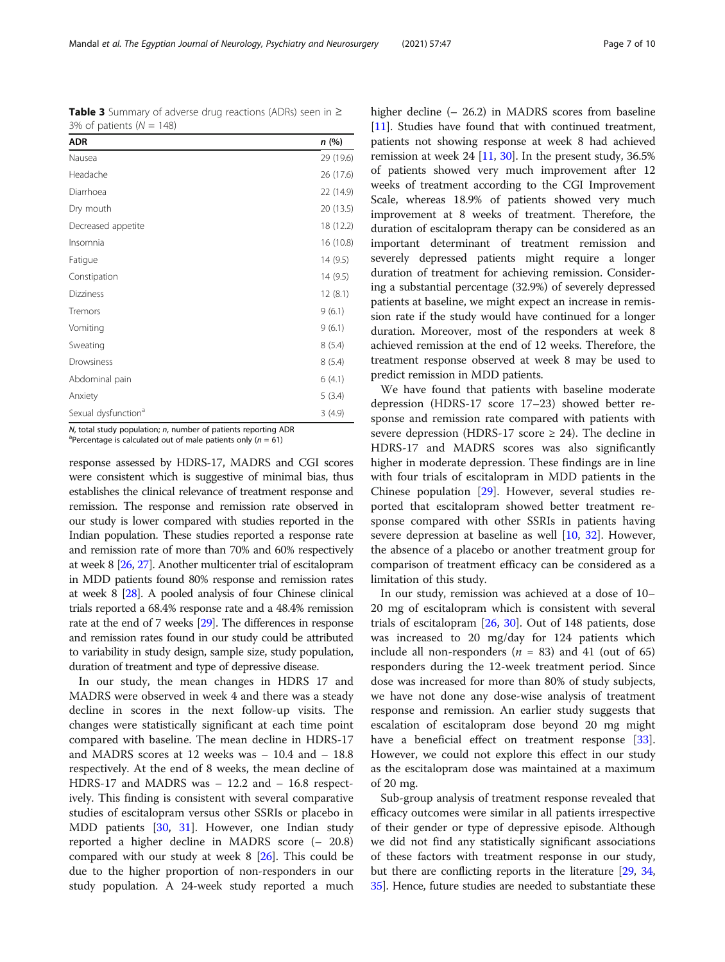$N$ , total study population;  $n$ , number of patients reporting ADR <sup>a</sup>Percentage is calculated out of male patients only ( $n = 61$ )

response assessed by HDRS-17, MADRS and CGI scores were consistent which is suggestive of minimal bias, thus establishes the clinical relevance of treatment response and remission. The response and remission rate observed in our study is lower compared with studies reported in the Indian population. These studies reported a response rate and remission rate of more than 70% and 60% respectively at week 8 [\[26](#page-9-0), [27](#page-9-0)]. Another multicenter trial of escitalopram in MDD patients found 80% response and remission rates at week 8 [\[28\]](#page-9-0). A pooled analysis of four Chinese clinical trials reported a 68.4% response rate and a 48.4% remission rate at the end of 7 weeks [[29](#page-9-0)]. The differences in response and remission rates found in our study could be attributed to variability in study design, sample size, study population, duration of treatment and type of depressive disease.

In our study, the mean changes in HDRS 17 and MADRS were observed in week 4 and there was a steady decline in scores in the next follow-up visits. The changes were statistically significant at each time point compared with baseline. The mean decline in HDRS-17 and MADRS scores at 12 weeks was – 10.4 and – 18.8 respectively. At the end of 8 weeks, the mean decline of HDRS-17 and MADRS was – 12.2 and – 16.8 respectively. This finding is consistent with several comparative studies of escitalopram versus other SSRIs or placebo in MDD patients [[30](#page-9-0), [31](#page-9-0)]. However, one Indian study reported a higher decline in MADRS score (– 20.8) compared with our study at week 8 [[26\]](#page-9-0). This could be due to the higher proportion of non-responders in our study population. A 24-week study reported a much

higher decline (– 26.2) in MADRS scores from baseline [[11](#page-8-0)]. Studies have found that with continued treatment, patients not showing response at week 8 had achieved remission at week 24 [\[11,](#page-8-0) [30\]](#page-9-0). In the present study, 36.5% of patients showed very much improvement after 12 weeks of treatment according to the CGI Improvement Scale, whereas 18.9% of patients showed very much improvement at 8 weeks of treatment. Therefore, the duration of escitalopram therapy can be considered as an important determinant of treatment remission and severely depressed patients might require a longer duration of treatment for achieving remission. Considering a substantial percentage (32.9%) of severely depressed patients at baseline, we might expect an increase in remission rate if the study would have continued for a longer duration. Moreover, most of the responders at week 8 achieved remission at the end of 12 weeks. Therefore, the treatment response observed at week 8 may be used to predict remission in MDD patients.

We have found that patients with baseline moderate depression (HDRS-17 score 17–23) showed better response and remission rate compared with patients with severe depression (HDRS-17 score  $\geq$  24). The decline in HDRS-17 and MADRS scores was also significantly higher in moderate depression. These findings are in line with four trials of escitalopram in MDD patients in the Chinese population [\[29](#page-9-0)]. However, several studies reported that escitalopram showed better treatment response compared with other SSRIs in patients having severe depression at baseline as well [[10,](#page-8-0) [32\]](#page-9-0). However, the absence of a placebo or another treatment group for comparison of treatment efficacy can be considered as a limitation of this study.

In our study, remission was achieved at a dose of 10– 20 mg of escitalopram which is consistent with several trials of escitalopram [[26](#page-9-0), [30\]](#page-9-0). Out of 148 patients, dose was increased to 20 mg/day for 124 patients which include all non-responders ( $n = 83$ ) and 41 (out of 65) responders during the 12-week treatment period. Since dose was increased for more than 80% of study subjects, we have not done any dose-wise analysis of treatment response and remission. An earlier study suggests that escalation of escitalopram dose beyond 20 mg might have a beneficial effect on treatment response [\[33](#page-9-0)]. However, we could not explore this effect in our study as the escitalopram dose was maintained at a maximum of 20 mg.

Sub-group analysis of treatment response revealed that efficacy outcomes were similar in all patients irrespective of their gender or type of depressive episode. Although we did not find any statistically significant associations of these factors with treatment response in our study, but there are conflicting reports in the literature [\[29,](#page-9-0) [34](#page-9-0), [35](#page-9-0)]. Hence, future studies are needed to substantiate these

Table 3 Summary of adverse drug reactions (ADRs) seen in ≥ 3% of patients  $(N = 148)$ 

| n(%)<br>29 (19.6)<br>26 (17.6) |
|--------------------------------|
|                                |
|                                |
|                                |
| 22 (14.9)                      |
| 20 (13.5)                      |
| 18 (12.2)                      |
| 16 (10.8)                      |
| 14(9.5)                        |
| 14(9.5)                        |
| 12(8.1)                        |
| 9(6.1)                         |
| 9(6.1)                         |
| 8(5.4)                         |
| 8(5.4)                         |
| 6(4.1)                         |
| 5(3.4)                         |
| 3(4.9)                         |
|                                |

<span id="page-6-0"></span>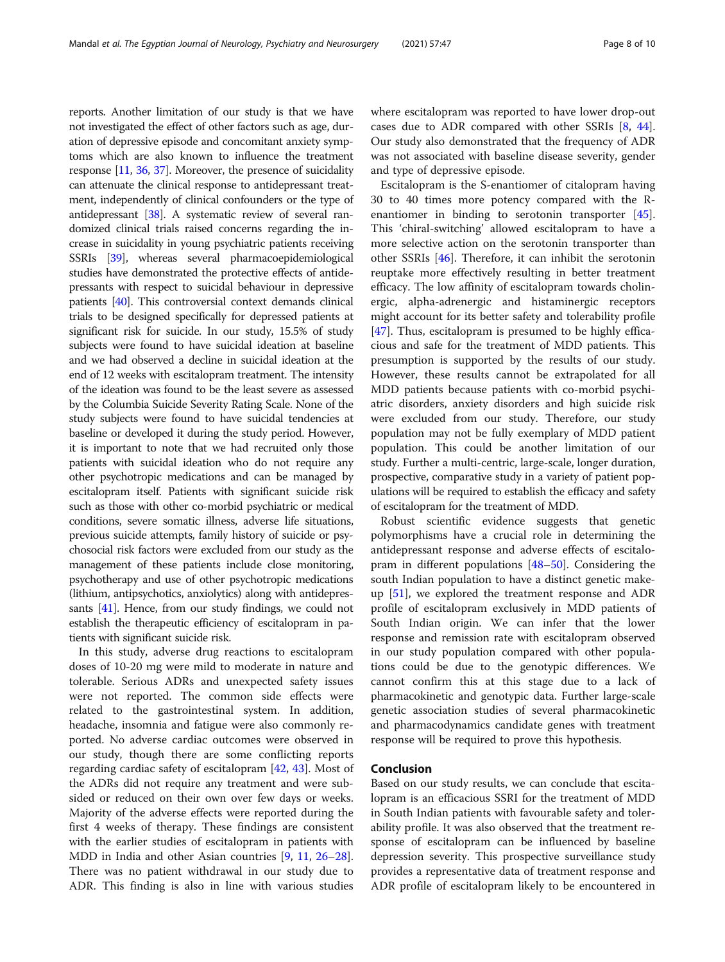reports. Another limitation of our study is that we have not investigated the effect of other factors such as age, duration of depressive episode and concomitant anxiety symptoms which are also known to influence the treatment response [\[11,](#page-8-0) [36](#page-9-0), [37\]](#page-9-0). Moreover, the presence of suicidality can attenuate the clinical response to antidepressant treatment, independently of clinical confounders or the type of antidepressant [[38](#page-9-0)]. A systematic review of several randomized clinical trials raised concerns regarding the increase in suicidality in young psychiatric patients receiving SSRIs [[39](#page-9-0)], whereas several pharmacoepidemiological studies have demonstrated the protective effects of antidepressants with respect to suicidal behaviour in depressive patients [[40](#page-9-0)]. This controversial context demands clinical trials to be designed specifically for depressed patients at significant risk for suicide. In our study, 15.5% of study subjects were found to have suicidal ideation at baseline and we had observed a decline in suicidal ideation at the end of 12 weeks with escitalopram treatment. The intensity of the ideation was found to be the least severe as assessed by the Columbia Suicide Severity Rating Scale. None of the study subjects were found to have suicidal tendencies at baseline or developed it during the study period. However, it is important to note that we had recruited only those patients with suicidal ideation who do not require any other psychotropic medications and can be managed by escitalopram itself. Patients with significant suicide risk such as those with other co-morbid psychiatric or medical conditions, severe somatic illness, adverse life situations, previous suicide attempts, family history of suicide or psychosocial risk factors were excluded from our study as the management of these patients include close monitoring, psychotherapy and use of other psychotropic medications (lithium, antipsychotics, anxiolytics) along with antidepressants [\[41\]](#page-9-0). Hence, from our study findings, we could not establish the therapeutic efficiency of escitalopram in patients with significant suicide risk.

In this study, adverse drug reactions to escitalopram doses of 10-20 mg were mild to moderate in nature and tolerable. Serious ADRs and unexpected safety issues were not reported. The common side effects were related to the gastrointestinal system. In addition, headache, insomnia and fatigue were also commonly reported. No adverse cardiac outcomes were observed in our study, though there are some conflicting reports regarding cardiac safety of escitalopram [\[42](#page-9-0), [43](#page-9-0)]. Most of the ADRs did not require any treatment and were subsided or reduced on their own over few days or weeks. Majority of the adverse effects were reported during the first 4 weeks of therapy. These findings are consistent with the earlier studies of escitalopram in patients with MDD in India and other Asian countries [[9,](#page-8-0) [11](#page-8-0), [26](#page-9-0)–[28](#page-9-0)]. There was no patient withdrawal in our study due to ADR. This finding is also in line with various studies where escitalopram was reported to have lower drop-out cases due to ADR compared with other SSRIs [[8,](#page-8-0) [44](#page-9-0)]. Our study also demonstrated that the frequency of ADR was not associated with baseline disease severity, gender and type of depressive episode.

Escitalopram is the S-enantiomer of citalopram having 30 to 40 times more potency compared with the Renantiomer in binding to serotonin transporter [\[45](#page-9-0)]. This 'chiral-switching' allowed escitalopram to have a more selective action on the serotonin transporter than other SSRIs [\[46](#page-9-0)]. Therefore, it can inhibit the serotonin reuptake more effectively resulting in better treatment efficacy. The low affinity of escitalopram towards cholinergic, alpha-adrenergic and histaminergic receptors might account for its better safety and tolerability profile [[47\]](#page-9-0). Thus, escitalopram is presumed to be highly efficacious and safe for the treatment of MDD patients. This presumption is supported by the results of our study. However, these results cannot be extrapolated for all MDD patients because patients with co-morbid psychiatric disorders, anxiety disorders and high suicide risk were excluded from our study. Therefore, our study population may not be fully exemplary of MDD patient population. This could be another limitation of our study. Further a multi-centric, large-scale, longer duration, prospective, comparative study in a variety of patient populations will be required to establish the efficacy and safety of escitalopram for the treatment of MDD.

Robust scientific evidence suggests that genetic polymorphisms have a crucial role in determining the antidepressant response and adverse effects of escitalopram in different populations [[48](#page-9-0)–[50](#page-9-0)]. Considering the south Indian population to have a distinct genetic makeup [[51\]](#page-9-0), we explored the treatment response and ADR profile of escitalopram exclusively in MDD patients of South Indian origin. We can infer that the lower response and remission rate with escitalopram observed in our study population compared with other populations could be due to the genotypic differences. We cannot confirm this at this stage due to a lack of pharmacokinetic and genotypic data. Further large-scale genetic association studies of several pharmacokinetic and pharmacodynamics candidate genes with treatment response will be required to prove this hypothesis.

# Conclusion

Based on our study results, we can conclude that escitalopram is an efficacious SSRI for the treatment of MDD in South Indian patients with favourable safety and tolerability profile. It was also observed that the treatment response of escitalopram can be influenced by baseline depression severity. This prospective surveillance study provides a representative data of treatment response and ADR profile of escitalopram likely to be encountered in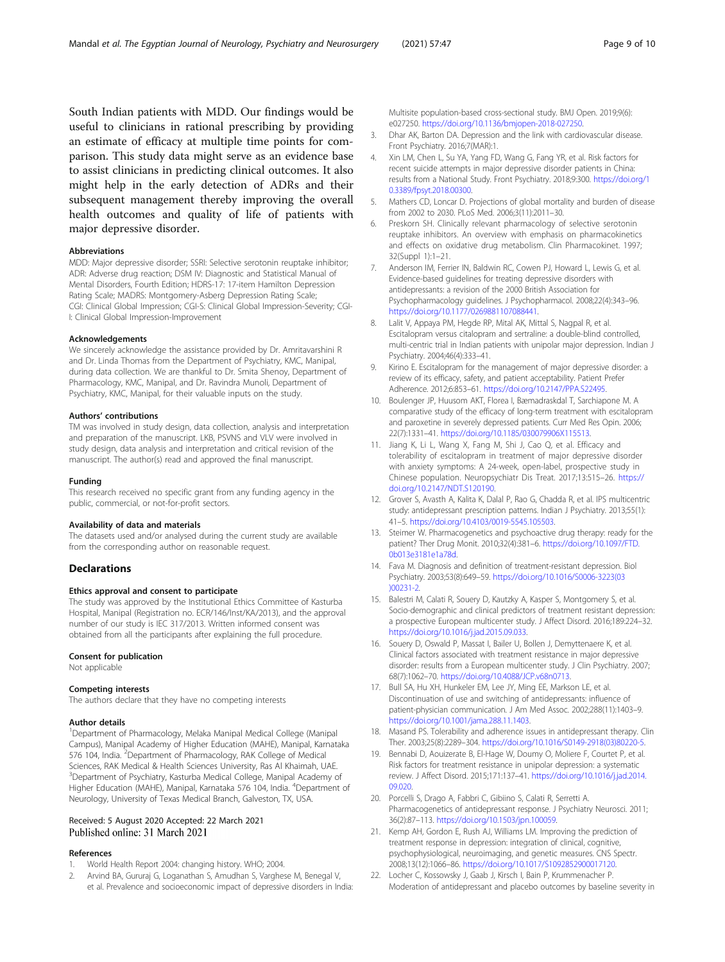<span id="page-8-0"></span>South Indian patients with MDD. Our findings would be useful to clinicians in rational prescribing by providing an estimate of efficacy at multiple time points for comparison. This study data might serve as an evidence base to assist clinicians in predicting clinical outcomes. It also might help in the early detection of ADRs and their subsequent management thereby improving the overall health outcomes and quality of life of patients with major depressive disorder.

#### Abbreviations

MDD: Major depressive disorder; SSRI: Selective serotonin reuptake inhibitor; ADR: Adverse drug reaction; DSM IV: Diagnostic and Statistical Manual of Mental Disorders, Fourth Edition; HDRS-17: 17-item Hamilton Depression Rating Scale; MADRS: Montgomery-Asberg Depression Rating Scale; CGI: Clinical Global Impression; CGI-S: Clinical Global Impression-Severity; CGI-I: Clinical Global Impression-Improvement

#### Acknowledgements

We sincerely acknowledge the assistance provided by Dr. Amritavarshini R and Dr. Linda Thomas from the Department of Psychiatry, KMC, Manipal, during data collection. We are thankful to Dr. Smita Shenoy, Department of Pharmacology, KMC, Manipal, and Dr. Ravindra Munoli, Department of Psychiatry, KMC, Manipal, for their valuable inputs on the study.

#### Authors' contributions

TM was involved in study design, data collection, analysis and interpretation and preparation of the manuscript. LKB, PSVNS and VLV were involved in study design, data analysis and interpretation and critical revision of the manuscript. The author(s) read and approved the final manuscript.

#### Funding

This research received no specific grant from any funding agency in the public, commercial, or not-for-profit sectors.

#### Availability of data and materials

The datasets used and/or analysed during the current study are available from the corresponding author on reasonable request.

#### **Declarations**

# Ethics approval and consent to participate

The study was approved by the Institutional Ethics Committee of Kasturba Hospital, Manipal (Registration no. ECR/146/Inst/KA/2013), and the approval number of our study is IEC 317/2013. Written informed consent was obtained from all the participants after explaining the full procedure.

#### Consent for publication

Not applicable

#### Competing interests

The authors declare that they have no competing interests

#### Author details

<sup>1</sup>Department of Pharmacology, Melaka Manipal Medical College (Manipal Campus), Manipal Academy of Higher Education (MAHE), Manipal, Karnataka 576 104, India. <sup>2</sup>Department of Pharmacology, RAK College of Medical Sciences, RAK Medical & Health Sciences University, Ras Al Khaimah, UAE. <sup>3</sup>Department of Psychiatry, Kasturba Medical College, Manipal Academy of Higher Education (MAHE), Manipal, Karnataka 576 104, India. <sup>4</sup>Department of Neurology, University of Texas Medical Branch, Galveston, TX, USA.

# Received: 5 August 2020 Accepted: 22 March 2021 Published online: 31 March 2021

#### References

- 1. World Health Report 2004: changing history. WHO; 2004.
- 2. Arvind BA, Gururaj G, Loganathan S, Amudhan S, Varghese M, Benegal V, et al. Prevalence and socioeconomic impact of depressive disorders in India:

Multisite population-based cross-sectional study. BMJ Open. 2019;9(6): e027250. <https://doi.org/10.1136/bmjopen-2018-027250>.

- 3. Dhar AK, Barton DA. Depression and the link with cardiovascular disease. Front Psychiatry. 2016;7(MAR):1.
- 4. Xin LM, Chen L, Su YA, Yang FD, Wang G, Fang YR, et al. Risk factors for recent suicide attempts in major depressive disorder patients in China: results from a National Study. Front Psychiatry. 2018;9:300. [https://doi.org/1](https://doi.org/10.3389/fpsyt.2018.00300) [0.3389/fpsyt.2018.00300](https://doi.org/10.3389/fpsyt.2018.00300).
- 5. Mathers CD, Loncar D. Projections of global mortality and burden of disease from 2002 to 2030. PLoS Med. 2006;3(11):2011–30.
- 6. Preskorn SH. Clinically relevant pharmacology of selective serotonin reuptake inhibitors. An overview with emphasis on pharmacokinetics and effects on oxidative drug metabolism. Clin Pharmacokinet. 1997; 32(Suppl 1):1–21.
- 7. Anderson IM, Ferrier IN, Baldwin RC, Cowen PJ, Howard L, Lewis G, et al. Evidence-based guidelines for treating depressive disorders with antidepressants: a revision of the 2000 British Association for Psychopharmacology guidelines. J Psychopharmacol. 2008;22(4):343–96. [https://doi.org/10.1177/0269881107088441.](https://doi.org/10.1177/0269881107088441)
- 8. Lalit V, Appaya PM, Hegde RP, Mital AK, Mittal S, Nagpal R, et al. Escitalopram versus citalopram and sertraline: a double-blind controlled, multi-centric trial in Indian patients with unipolar major depression. Indian J Psychiatry. 2004;46(4):333–41.
- 9. Kirino E. Escitalopram for the management of major depressive disorder: a review of its efficacy, safety, and patient acceptability. Patient Prefer Adherence. 2012;6:853–61. <https://doi.org/10.2147/PPA.S22495>.
- 10. Boulenger JP, Huusom AKT, Florea I, Bæmadraskdal T, Sarchiapone M. A comparative study of the efficacy of long-term treatment with escitalopram and paroxetine in severely depressed patients. Curr Med Res Opin. 2006; 22(7):1331–41. <https://doi.org/10.1185/030079906X115513>.
- 11. Jiang K, Li L, Wang X, Fang M, Shi J, Cao Q, et al. Efficacy and tolerability of escitalopram in treatment of major depressive disorder with anxiety symptoms: A 24-week, open-label, prospective study in Chinese population. Neuropsychiatr Dis Treat. 2017;13:515–26. [https://](https://doi.org/10.2147/NDT.S120190) [doi.org/10.2147/NDT.S120190](https://doi.org/10.2147/NDT.S120190).
- 12. Grover S, Avasth A, Kalita K, Dalal P, Rao G, Chadda R, et al. IPS multicentric study: antidepressant prescription patterns. Indian J Psychiatry. 2013;55(1): 41–5. <https://doi.org/10.4103/0019-5545.105503>.
- 13. Steimer W. Pharmacogenetics and psychoactive drug therapy: ready for the patient? Ther Drug Monit. 2010;32(4):381–6. [https://doi.org/10.1097/FTD.](https://doi.org/10.1097/FTD.0b013e3181e1a78d) [0b013e3181e1a78d.](https://doi.org/10.1097/FTD.0b013e3181e1a78d)
- 14. Fava M. Diagnosis and definition of treatment-resistant depression. Biol Psychiatry. 2003;53(8):649–59. [https://doi.org/10.1016/S0006-3223\(03](https://doi.org/10.1016/S0006-3223(03)00231-2) [\)00231-2](https://doi.org/10.1016/S0006-3223(03)00231-2).
- 15. Balestri M, Calati R, Souery D, Kautzky A, Kasper S, Montgomery S, et al. Socio-demographic and clinical predictors of treatment resistant depression: a prospective European multicenter study. J Affect Disord. 2016;189:224–32. <https://doi.org/10.1016/j.jad.2015.09.033>.
- 16. Souery D, Oswald P, Massat I, Bailer U, Bollen J, Demyttenaere K, et al. Clinical factors associated with treatment resistance in major depressive disorder: results from a European multicenter study. J Clin Psychiatry. 2007; 68(7):1062–70. <https://doi.org/10.4088/JCP.v68n0713>.
- 17. Bull SA, Hu XH, Hunkeler EM, Lee JY, Ming EE, Markson LE, et al. Discontinuation of use and switching of antidepressants: influence of patient-physician communication. J Am Med Assoc. 2002;288(11):1403–9. [https://doi.org/10.1001/jama.288.11.1403.](https://doi.org/10.1001/jama.288.11.1403)
- 18. Masand PS. Tolerability and adherence issues in antidepressant therapy. Clin Ther. 2003;25(8):2289–304. [https://doi.org/10.1016/S0149-2918\(03\)80220-5](https://doi.org/10.1016/S0149-2918(03)80220-5).
- 19. Bennabi D, Aouizerate B, El-Hage W, Doumy O, Moliere F, Courtet P, et al. Risk factors for treatment resistance in unipolar depression: a systematic review. J Affect Disord. 2015;171:137–41. [https://doi.org/10.1016/j.jad.2014.](https://doi.org/10.1016/j.jad.2014.09.020) [09.020](https://doi.org/10.1016/j.jad.2014.09.020).
- 20. Porcelli S, Drago A, Fabbri C, Gibiino S, Calati R, Serretti A. Pharmacogenetics of antidepressant response. J Psychiatry Neurosci. 2011; 36(2):87–113. [https://doi.org/10.1503/jpn.100059.](https://doi.org/10.1503/jpn.100059)
- 21. Kemp AH, Gordon E, Rush AJ, Williams LM. Improving the prediction of treatment response in depression: integration of clinical, cognitive, psychophysiological, neuroimaging, and genetic measures. CNS Spectr. 2008;13(12):1066–86. [https://doi.org/10.1017/S1092852900017120.](https://doi.org/10.1017/S1092852900017120)
- 22. Locher C, Kossowsky J, Gaab J, Kirsch I, Bain P, Krummenacher P. Moderation of antidepressant and placebo outcomes by baseline severity in